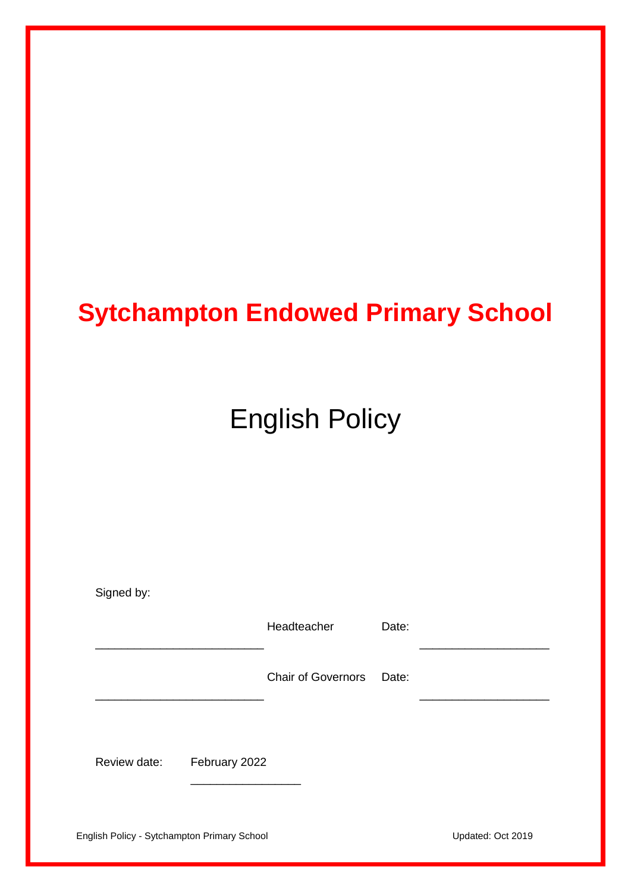# **Sytchampton Endowed Primary School**

# English Policy

| Signed by:                                  |               |                           |       |                   |
|---------------------------------------------|---------------|---------------------------|-------|-------------------|
|                                             |               | Headteacher               | Date: |                   |
|                                             |               | <b>Chair of Governors</b> | Date: |                   |
|                                             |               |                           |       |                   |
| Review date:                                | February 2022 |                           |       |                   |
| English Policy - Sytchampton Primary School |               |                           |       | Updated: Oct 2019 |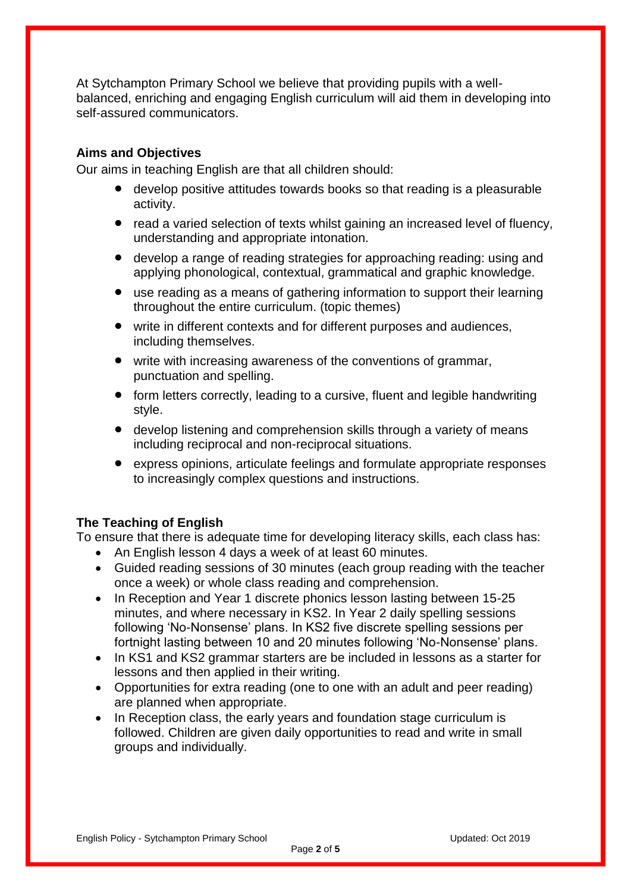At Sytchampton Primary School we believe that providing pupils with a wellbalanced, enriching and engaging English curriculum will aid them in developing into self-assured communicators.

#### **Aims and Objectives**

Our aims in teaching English are that all children should:

- develop positive attitudes towards books so that reading is a pleasurable activity.
- read a varied selection of texts whilst gaining an increased level of fluency, understanding and appropriate intonation.
- develop a range of reading strategies for approaching reading: using and applying phonological, contextual, grammatical and graphic knowledge.
- use reading as a means of gathering information to support their learning throughout the entire curriculum. (topic themes)
- write in different contexts and for different purposes and audiences, including themselves.
- write with increasing awareness of the conventions of grammar, punctuation and spelling.
- form letters correctly, leading to a cursive, fluent and legible handwriting style.
- develop listening and comprehension skills through a variety of means including reciprocal and non-reciprocal situations.
- express opinions, articulate feelings and formulate appropriate responses to increasingly complex questions and instructions.

#### **The Teaching of English**

To ensure that there is adequate time for developing literacy skills, each class has:

- An English lesson 4 days a week of at least 60 minutes.
- Guided reading sessions of 30 minutes (each group reading with the teacher once a week) or whole class reading and comprehension.
- In Reception and Year 1 discrete phonics lesson lasting between 15-25 minutes, and where necessary in KS2. In Year 2 daily spelling sessions following 'No-Nonsense' plans. In KS2 five discrete spelling sessions per fortnight lasting between 10 and 20 minutes following 'No-Nonsense' plans.
- In KS1 and KS2 grammar starters are be included in lessons as a starter for lessons and then applied in their writing.
- Opportunities for extra reading (one to one with an adult and peer reading) are planned when appropriate.
- In Reception class, the early years and foundation stage curriculum is followed. Children are given daily opportunities to read and write in small groups and individually.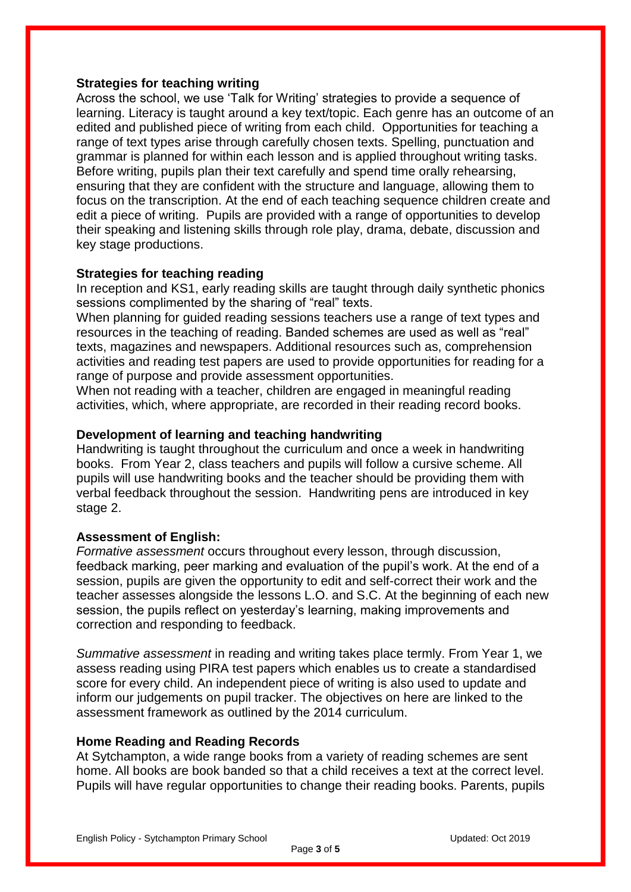#### **Strategies for teaching writing**

Across the school, we use 'Talk for Writing' strategies to provide a sequence of learning. Literacy is taught around a key text/topic. Each genre has an outcome of an edited and published piece of writing from each child. Opportunities for teaching a range of text types arise through carefully chosen texts. Spelling, punctuation and grammar is planned for within each lesson and is applied throughout writing tasks. Before writing, pupils plan their text carefully and spend time orally rehearsing, ensuring that they are confident with the structure and language, allowing them to focus on the transcription. At the end of each teaching sequence children create and edit a piece of writing. Pupils are provided with a range of opportunities to develop their speaking and listening skills through role play, drama, debate, discussion and key stage productions.

#### **Strategies for teaching reading**

In reception and KS1, early reading skills are taught through daily synthetic phonics sessions complimented by the sharing of "real" texts.

When planning for guided reading sessions teachers use a range of text types and resources in the teaching of reading. Banded schemes are used as well as "real" texts, magazines and newspapers. Additional resources such as, comprehension activities and reading test papers are used to provide opportunities for reading for a range of purpose and provide assessment opportunities.

When not reading with a teacher, children are engaged in meaningful reading activities, which, where appropriate, are recorded in their reading record books.

#### **Development of learning and teaching handwriting**

Handwriting is taught throughout the curriculum and once a week in handwriting books. From Year 2, class teachers and pupils will follow a cursive scheme. All pupils will use handwriting books and the teacher should be providing them with verbal feedback throughout the session. Handwriting pens are introduced in key stage 2.

#### **Assessment of English:**

*Formative assessment* occurs throughout every lesson, through discussion, feedback marking, peer marking and evaluation of the pupil's work. At the end of a session, pupils are given the opportunity to edit and self-correct their work and the teacher assesses alongside the lessons L.O. and S.C. At the beginning of each new session, the pupils reflect on yesterday's learning, making improvements and correction and responding to feedback.

*Summative assessment* in reading and writing takes place termly. From Year 1, we assess reading using PIRA test papers which enables us to create a standardised score for every child. An independent piece of writing is also used to update and inform our judgements on pupil tracker. The objectives on here are linked to the assessment framework as outlined by the 2014 curriculum.

#### **Home Reading and Reading Records**

At Sytchampton, a wide range books from a variety of reading schemes are sent home. All books are book banded so that a child receives a text at the correct level. Pupils will have regular opportunities to change their reading books. Parents, pupils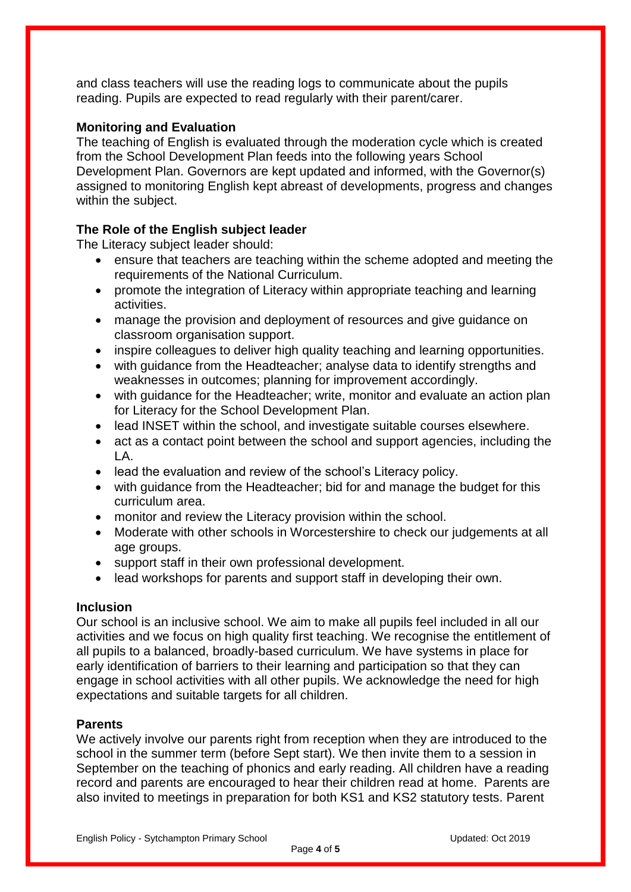and class teachers will use the reading logs to communicate about the pupils reading. Pupils are expected to read regularly with their parent/carer.

### **Monitoring and Evaluation**

The teaching of English is evaluated through the moderation cycle which is created from the School Development Plan feeds into the following years School Development Plan. Governors are kept updated and informed, with the Governor(s) assigned to monitoring English kept abreast of developments, progress and changes within the subject.

# **The Role of the English subject leader**

The Literacy subject leader should:

- ensure that teachers are teaching within the scheme adopted and meeting the requirements of the National Curriculum.
- promote the integration of Literacy within appropriate teaching and learning activities.
- manage the provision and deployment of resources and give guidance on classroom organisation support.
- inspire colleagues to deliver high quality teaching and learning opportunities.
- with guidance from the Headteacher; analyse data to identify strengths and weaknesses in outcomes; planning for improvement accordingly.
- with guidance for the Headteacher; write, monitor and evaluate an action plan for Literacy for the School Development Plan.
- lead INSET within the school, and investigate suitable courses elsewhere.
- act as a contact point between the school and support agencies, including the LA.
- lead the evaluation and review of the school's Literacy policy.
- with guidance from the Headteacher; bid for and manage the budget for this curriculum area.
- monitor and review the Literacy provision within the school.
- Moderate with other schools in Worcestershire to check our judgements at all age groups.
- support staff in their own professional development.
- lead workshops for parents and support staff in developing their own.

#### **Inclusion**

Our school is an inclusive school. We aim to make all pupils feel included in all our activities and we focus on high quality first teaching. We recognise the entitlement of all pupils to a balanced, broadly-based curriculum. We have systems in place for early identification of barriers to their learning and participation so that they can engage in school activities with all other pupils. We acknowledge the need for high expectations and suitable targets for all children.

#### **Parents**

We actively involve our parents right from reception when they are introduced to the school in the summer term (before Sept start). We then invite them to a session in September on the teaching of phonics and early reading. All children have a reading record and parents are encouraged to hear their children read at home. Parents are also invited to meetings in preparation for both KS1 and KS2 statutory tests. Parent